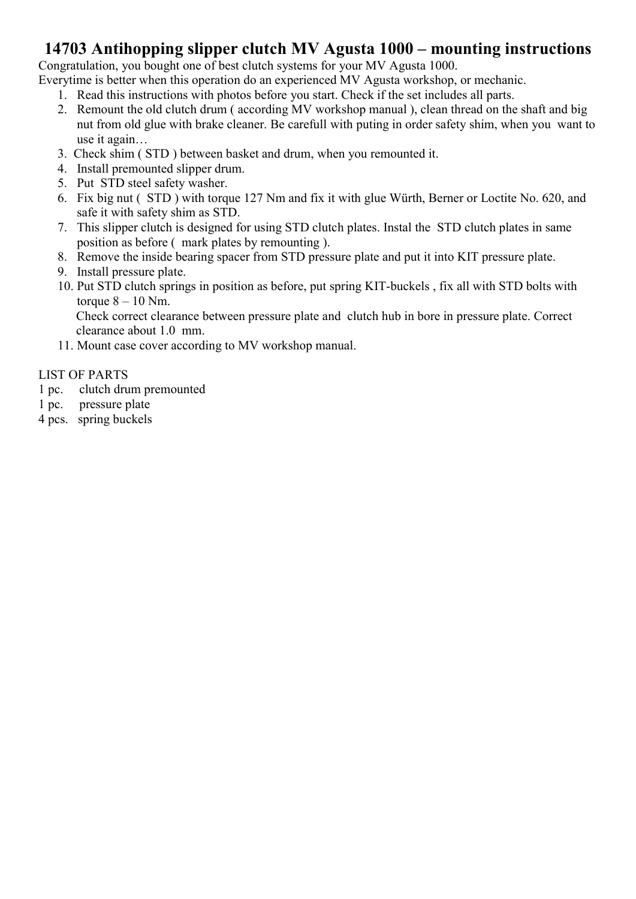### 14703 Antihopping slipper clutch MV Agusta 1000 – mounting instructions

Congratulation, you bought one of best clutch systems for your MV Agusta 1000.

Everytime is better when this operation do an experienced MV Agusta workshop, or mechanic.

- 1. Read this instructions with photos before you start. Check if the set includes all parts.
- 2. Remount the old clutch drum ( according MV workshop manual ), clean thread on the shaft and big nut from old glue with brake cleaner. Be carefull with puting in order safety shim, when you want to use it again…
- 3. Check shim ( STD ) between basket and drum, when you remounted it.
- 4. Install premounted slipper drum.
- 5. Put STD steel safety washer.
- 6. Fix big nut ( STD ) with torque 127 Nm and fix it with glue Würth, Berner or Loctite No. 620, and safe it with safety shim as STD.
- 7. This slipper clutch is designed for using STD clutch plates. Instal the STD clutch plates in same position as before ( mark plates by remounting ).
- 8. Remove the inside bearing spacer from STD pressure plate and put it into KIT pressure plate.
- 9. Install pressure plate.
- 10. Put STD clutch springs in position as before, put spring KIT-buckels , fix all with STD bolts with torque  $8 - 10$  Nm.

Check correct clearance between pressure plate and clutch hub in bore in pressure plate. Correct clearance about 1.0 mm.

11. Mount case cover according to MV workshop manual.

#### LIST OF PARTS

- 1 pc. clutch drum premounted
- 1 pc. pressure plate
- 4 pcs. spring buckels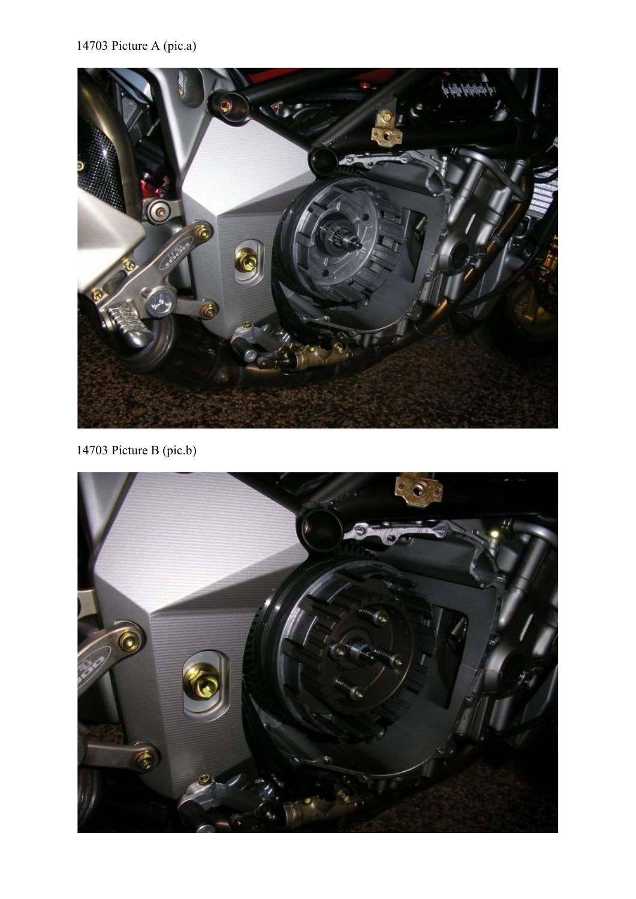# 14703 Picture A (pic.a)



14703 Picture B (pic.b)

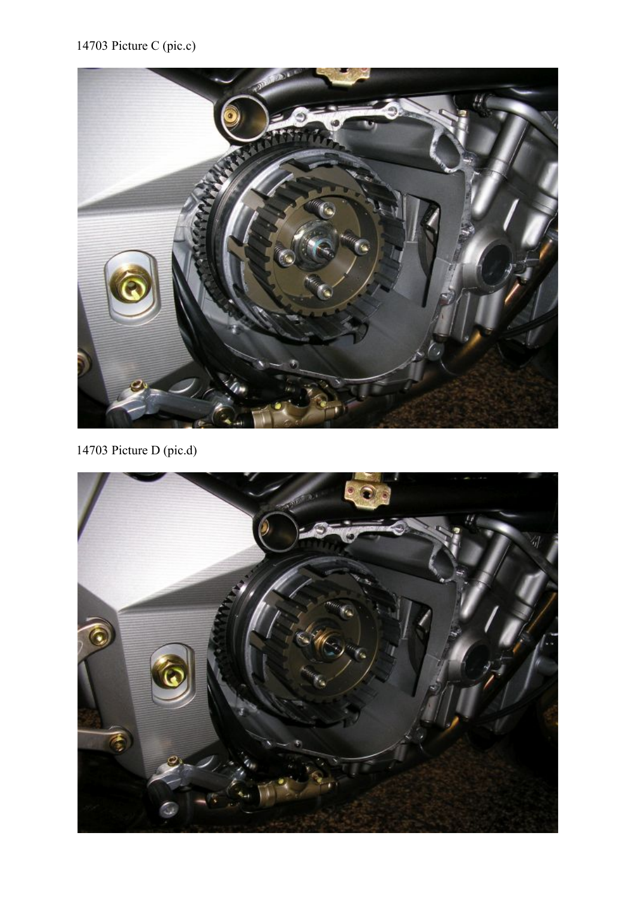

14703 Picture D (pic.d)

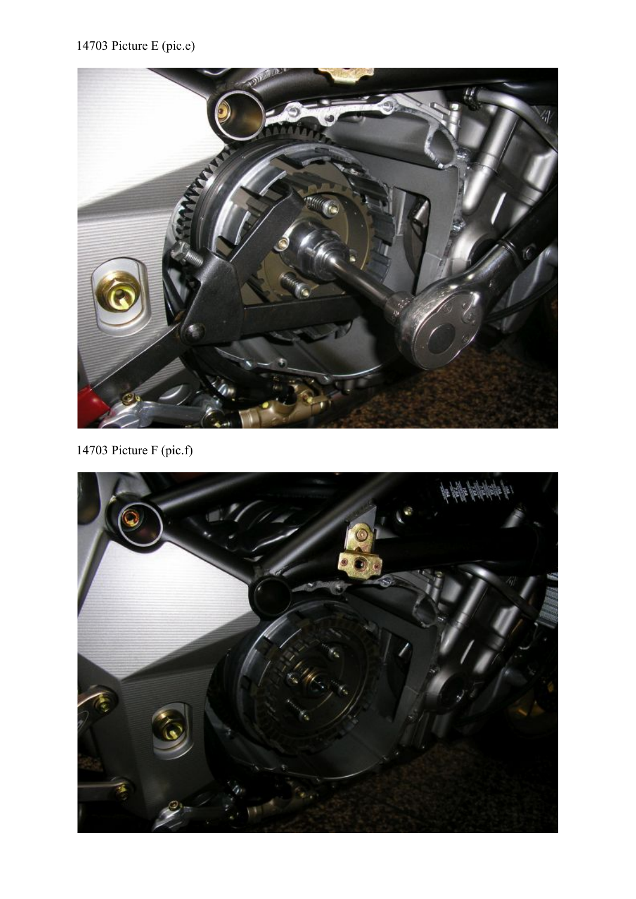

14703 Picture F (pic.f)

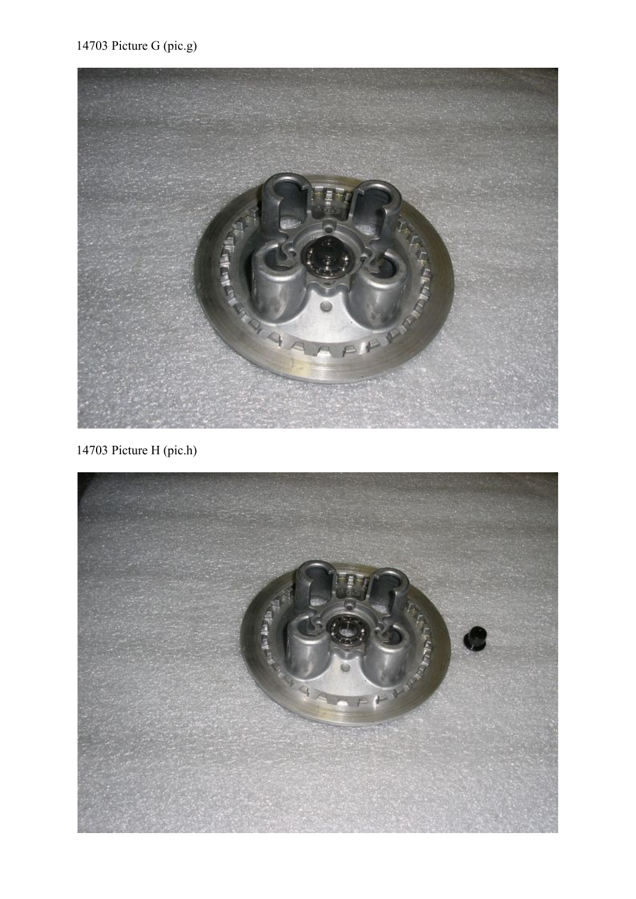## 14703 Picture G (pic.g)



14703 Picture H (pic.h)